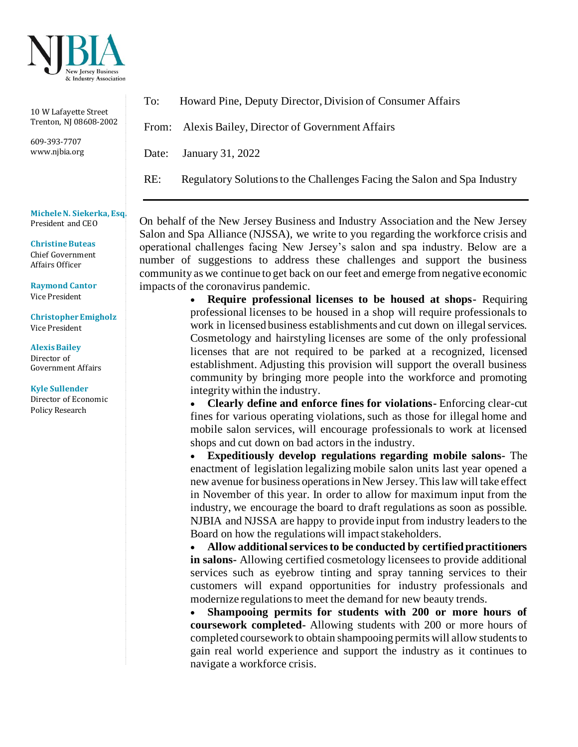

10 W Lafayette Street Trenton, NJ 08608-2002

609-393-7707 www.njbia.org

**Michele N. Siekerka, Esq.** President and CEO

**Christine Buteas** Chief Government Affairs Officer

**Raymond Cantor** Vice President

**Christopher Emigholz** Vice President

**Alexis Bailey**  Director of Government Affairs

**Kyle Sullender** Director of Economic Policy Research

To: Howard Pine, Deputy Director, Division of Consumer Affairs

From: Alexis Bailey, Director of Government Affairs

Date: January 31, 2022

RE: Regulatory Solutions to the Challenges Facing the Salon and Spa Industry

On behalf of the New Jersey Business and Industry Association and the New Jersey Salon and Spa Alliance (NJSSA), we write to you regarding the workforce crisis and operational challenges facing New Jersey's salon and spa industry. Below are a number of suggestions to address these challenges and support the business community as we continue to get back on our feet and emerge from negative economic impacts of the coronavirus pandemic.

• **Require professional licenses to be housed at shops-** Requiring professional licenses to be housed in a shop will require professionals to work in licensed business establishments and cut down on illegal services. Cosmetology and hairstyling licenses are some of the only professional licenses that are not required to be parked at a recognized, licensed establishment. Adjusting this provision will support the overall business community by bringing more people into the workforce and promoting integrity within the industry.

• **Clearly define and enforce fines for violations-** Enforcing clear-cut fines for various operating violations, such as those for illegal home and mobile salon services, will encourage professionals to work at licensed shops and cut down on bad actors in the industry.

• **Expeditiously develop regulations regarding mobile salons-** The enactment of legislation legalizing mobile salon units last year opened a new avenue for business operations in New Jersey. This law will take effect in November of this year. In order to allow for maximum input from the industry, we encourage the board to draft regulations as soon as possible. NJBIA and NJSSA are happy to provide input from industry leaders to the Board on how the regulations will impact stakeholders.

• **Allow additional services to be conducted by certified practitioners in salons-** Allowing certified cosmetology licensees to provide additional services such as eyebrow tinting and spray tanning services to their customers will expand opportunities for industry professionals and modernize regulations to meet the demand for new beauty trends.

• **Shampooing permits for students with 200 or more hours of coursework completed-** Allowing students with 200 or more hours of completed coursework to obtain shampooing permits will allow students to gain real world experience and support the industry as it continues to navigate a workforce crisis.